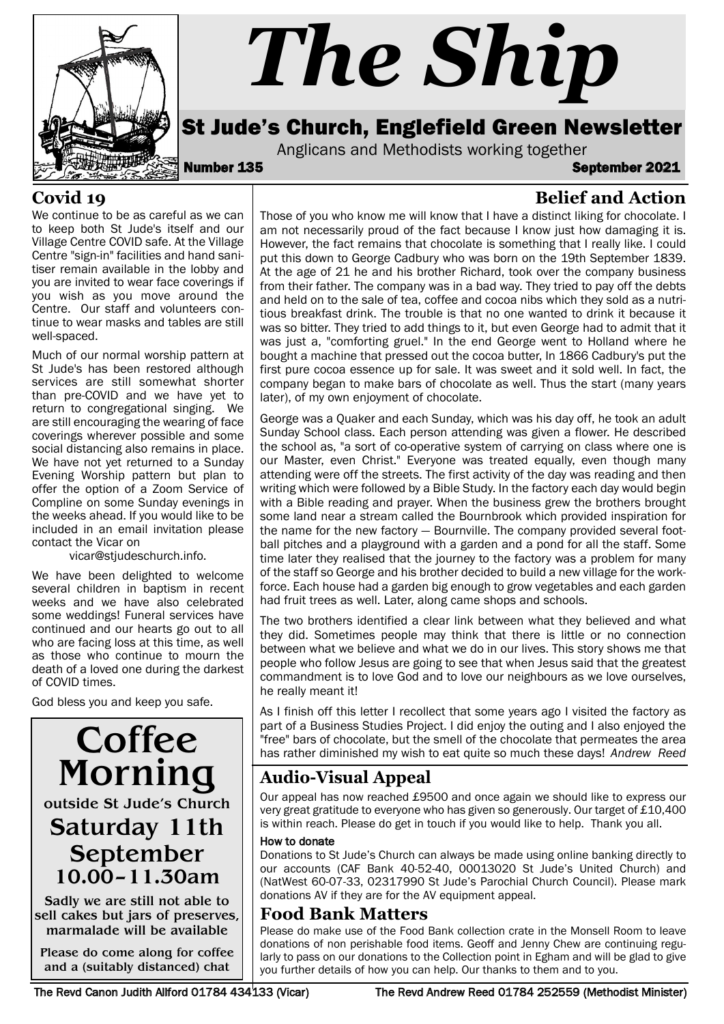

# *The Ship*

## St Jude's Church, Englefield Green Newsletter

Anglicans and Methodists working together<br>**September 135** September 2021

**Belief and Action**

#### **Covid 19**

We continue to be as careful as we can to keep both St Jude's itself and our Village Centre COVID safe. At the Village Centre "sign-in" facilities and hand sanitiser remain available in the lobby and you are invited to wear face coverings if you wish as you move around the Centre. Our staff and volunteers continue to wear masks and tables are still well-spaced.

Much of our normal worship pattern at St Jude's has been restored although services are still somewhat shorter than pre-COVID and we have yet to return to congregational singing. We are still encouraging the wearing of face coverings wherever possible and some social distancing also remains in place. We have not yet returned to a Sunday Evening Worship pattern but plan to offer the option of a Zoom Service of Compline on some Sunday evenings in the weeks ahead. If you would like to be included in an email invitation please contact the Vicar on

vicar@stjudeschurch.info.

We have been delighted to welcome several children in baptism in recent weeks and we have also celebrated some weddings! Funeral services have continued and our hearts go out to all who are facing loss at this time, as well as those who continue to mourn the death of a loved one during the darkest of COVID times.

God bless you and keep you safe.

# **Coffee** Morning outside St Jude's Church Saturday 11th September 10.00–11.30am

Sadly we are still not able to sell cakes but jars of preserves, marmalade will be available

Please do come along for coffee and a (suitably distanced) chat

Those of you who know me will know that I have a distinct liking for chocolate. I am not necessarily proud of the fact because I know just how damaging it is. However, the fact remains that chocolate is something that I really like. I could put this down to George Cadbury who was born on the 19th September 1839. At the age of 21 he and his brother Richard, took over the company business from their father. The company was in a bad way. They tried to pay off the debts and held on to the sale of tea, coffee and cocoa nibs which they sold as a nutritious breakfast drink. The trouble is that no one wanted to drink it because it was so bitter. They tried to add things to it, but even George had to admit that it was just a, "comforting gruel." In the end George went to Holland where he bought a machine that pressed out the cocoa butter, In 1866 Cadbury's put the first pure cocoa essence up for sale. It was sweet and it sold well. In fact, the company began to make bars of chocolate as well. Thus the start (many years later), of my own enjoyment of chocolate.

George was a Quaker and each Sunday, which was his day off, he took an adult Sunday School class. Each person attending was given a flower. He described the school as, "a sort of co-operative system of carrying on class where one is our Master, even Christ." Everyone was treated equally, even though many attending were off the streets. The first activity of the day was reading and then writing which were followed by a Bible Study. In the factory each day would begin with a Bible reading and prayer. When the business grew the brothers brought some land near a stream called the Bournbrook which provided inspiration for the name for the new factory — Bournville. The company provided several football pitches and a playground with a garden and a pond for all the staff. Some time later they realised that the journey to the factory was a problem for many of the staff so George and his brother decided to build a new village for the workforce. Each house had a garden big enough to grow vegetables and each garden had fruit trees as well. Later, along came shops and schools.

The two brothers identified a clear link between what they believed and what they did. Sometimes people may think that there is little or no connection between what we believe and what we do in our lives. This story shows me that people who follow Jesus are going to see that when Jesus said that the greatest commandment is to love God and to love our neighbours as we love ourselves, he really meant it!

As I finish off this letter I recollect that some years ago I visited the factory as part of a Business Studies Project. I did enjoy the outing and I also enjoyed the "free" bars of chocolate, but the smell of the chocolate that permeates the area has rather diminished my wish to eat quite so much these days! *Andrew Reed*

### **Audio-Visual Appeal**

Our appeal has now reached £9500 and once again we should like to express our very great gratitude to everyone who has given so generously. Our target of £10,400 is within reach. Please do get in touch if you would like to help. Thank you all.

#### How to donate

Donations to St Jude's Church can always be made using online banking directly to our accounts (CAF Bank 40-52-40, 00013020 St Jude's United Church) and (NatWest 60-07-33, 02317990 St Jude's Parochial Church Council). Please mark donations AV if they are for the AV equipment appeal.

#### **Food Bank Matters**

Please do make use of the Food Bank collection crate in the Monsell Room to leave donations of non perishable food items. Geoff and Jenny Chew are continuing regularly to pass on our donations to the Collection point in Egham and will be glad to give you further details of how you can help. Our thanks to them and to you.

The Revd Canon Judith Allford 01784 434133 (Vicar) The Revd Andrew Reed 01784 252559 (Methodist Minister)